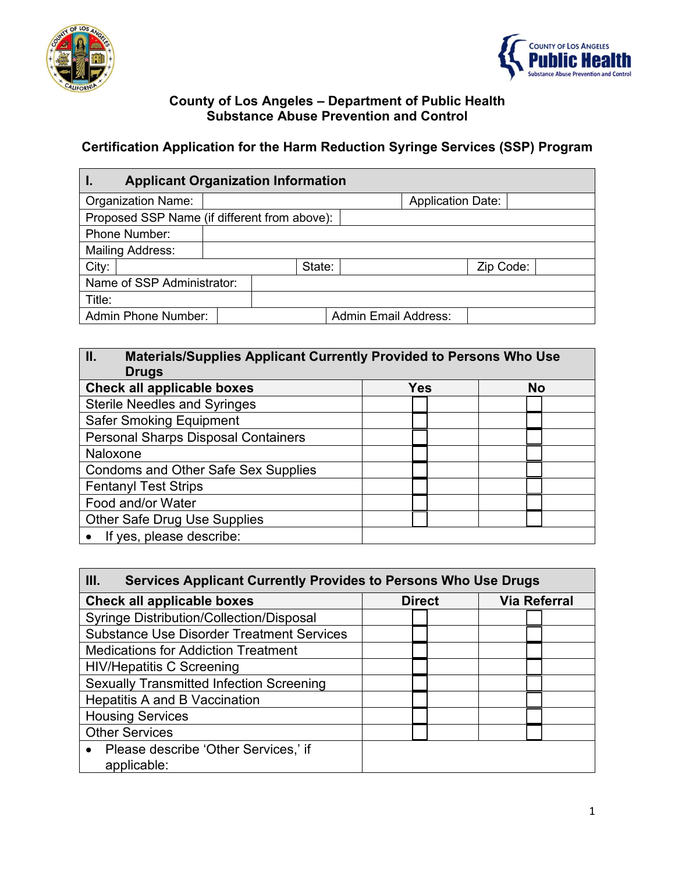



#### **County of Los Angeles – Department of Public Health Substance Abuse Prevention and Control**

# **Certification Application for the Harm Reduction Syringe Services (SSP) Program**

| <b>Applicant Organization Information</b><br>ι. |        |  |           |                             |                          |  |  |  |
|-------------------------------------------------|--------|--|-----------|-----------------------------|--------------------------|--|--|--|
| <b>Organization Name:</b>                       |        |  |           |                             | <b>Application Date:</b> |  |  |  |
| Proposed SSP Name (if different from above):    |        |  |           |                             |                          |  |  |  |
| <b>Phone Number:</b>                            |        |  |           |                             |                          |  |  |  |
| <b>Mailing Address:</b>                         |        |  |           |                             |                          |  |  |  |
| City:                                           | State: |  | Zip Code: |                             |                          |  |  |  |
| Name of SSP Administrator:                      |        |  |           |                             |                          |  |  |  |
| Title:                                          |        |  |           |                             |                          |  |  |  |
| Admin Phone Number:                             |        |  |           | <b>Admin Email Address:</b> |                          |  |  |  |

# **II. Materials/Supplies Applicant Currently Provided to Persons Who Use Drugs Check all applicable boxes Yes No** Sterile Needles and Syringes Safer Smoking Equipment Personal Sharps Disposal Containers Naloxone Condoms and Other Safe Sex Supplies Fentanyl Test Strips Food and/or Water Other Safe Drug Use Supplies • If yes, please describe:

| III.<br><b>Services Applicant Currently Provides to Persons Who Use Drugs</b> |               |                     |  |  |  |
|-------------------------------------------------------------------------------|---------------|---------------------|--|--|--|
| <b>Check all applicable boxes</b>                                             | <b>Direct</b> | <b>Via Referral</b> |  |  |  |
| <b>Syringe Distribution/Collection/Disposal</b>                               |               |                     |  |  |  |
| <b>Substance Use Disorder Treatment Services</b>                              |               |                     |  |  |  |
| <b>Medications for Addiction Treatment</b>                                    |               |                     |  |  |  |
| <b>HIV/Hepatitis C Screening</b>                                              |               |                     |  |  |  |
| <b>Sexually Transmitted Infection Screening</b>                               |               |                     |  |  |  |
| <b>Hepatitis A and B Vaccination</b>                                          |               |                     |  |  |  |
| <b>Housing Services</b>                                                       |               |                     |  |  |  |
| <b>Other Services</b>                                                         |               |                     |  |  |  |
| Please describe 'Other Services,' if<br>applicable:                           |               |                     |  |  |  |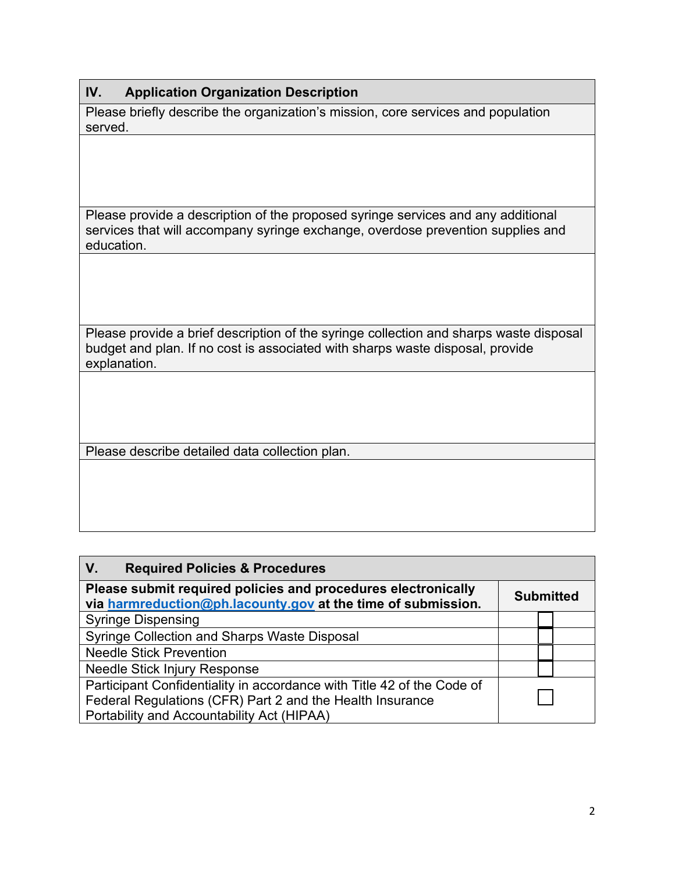### **IV. Application Organization Description**

Please briefly describe the organization's mission, core services and population served.

Please provide a description of the proposed syringe services and any additional services that will accompany syringe exchange, overdose prevention supplies and education.

Please provide a brief description of the syringe collection and sharps waste disposal budget and plan. If no cost is associated with sharps waste disposal, provide explanation.

Please describe detailed data collection plan.

| V.<br><b>Required Policies &amp; Procedures</b>                                                                                                                                   |                  |  |
|-----------------------------------------------------------------------------------------------------------------------------------------------------------------------------------|------------------|--|
| Please submit required policies and procedures electronically<br>via harmreduction@ph.lacounty.gov at the time of submission.                                                     | <b>Submitted</b> |  |
| <b>Syringe Dispensing</b>                                                                                                                                                         |                  |  |
| <b>Syringe Collection and Sharps Waste Disposal</b>                                                                                                                               |                  |  |
| <b>Needle Stick Prevention</b>                                                                                                                                                    |                  |  |
| Needle Stick Injury Response                                                                                                                                                      |                  |  |
| Participant Confidentiality in accordance with Title 42 of the Code of<br>Federal Regulations (CFR) Part 2 and the Health Insurance<br>Portability and Accountability Act (HIPAA) |                  |  |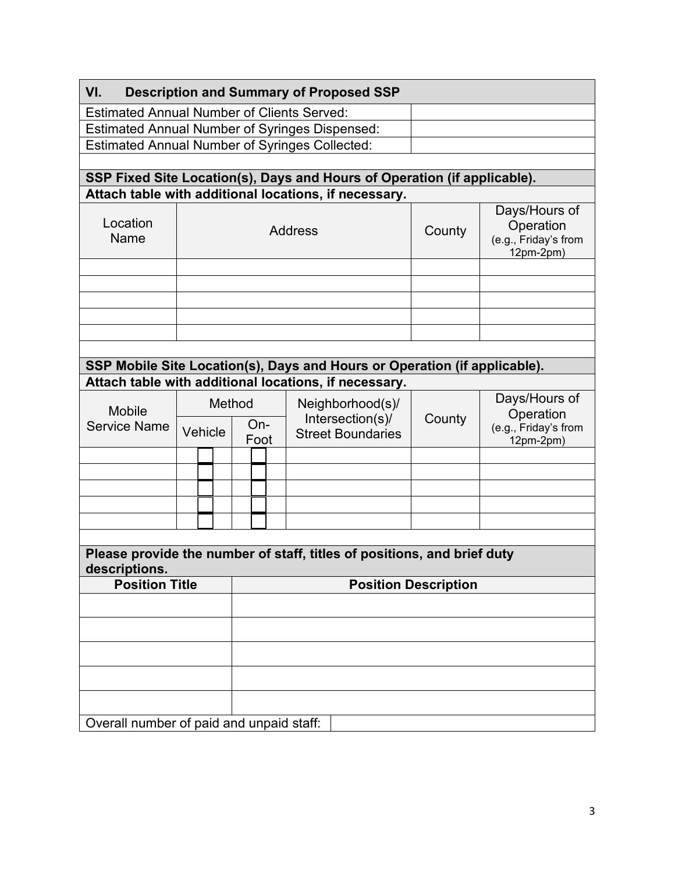| VI.<br><b>Description and Summary of Proposed SSP</b>                                   |                   |                |                                                                                   |  |  |  |        |                                                                 |        |                                                                 |  |
|-----------------------------------------------------------------------------------------|-------------------|----------------|-----------------------------------------------------------------------------------|--|--|--|--------|-----------------------------------------------------------------|--------|-----------------------------------------------------------------|--|
| <b>Estimated Annual Number of Clients Served:</b>                                       |                   |                |                                                                                   |  |  |  |        |                                                                 |        |                                                                 |  |
| <b>Estimated Annual Number of Syringes Dispensed:</b>                                   |                   |                |                                                                                   |  |  |  |        |                                                                 |        |                                                                 |  |
| <b>Estimated Annual Number of Syringes Collected:</b>                                   |                   |                |                                                                                   |  |  |  |        |                                                                 |        |                                                                 |  |
|                                                                                         |                   |                |                                                                                   |  |  |  |        |                                                                 |        |                                                                 |  |
| SSP Fixed Site Location(s), Days and Hours of Operation (if applicable).                |                   |                |                                                                                   |  |  |  |        |                                                                 |        |                                                                 |  |
| Attach table with additional locations, if necessary.                                   |                   |                |                                                                                   |  |  |  |        |                                                                 |        |                                                                 |  |
| Location<br>Name                                                                        |                   | <b>Address</b> |                                                                                   |  |  |  |        |                                                                 | County | Days/Hours of<br>Operation<br>(e.g., Friday's from<br>12pm-2pm) |  |
|                                                                                         |                   |                |                                                                                   |  |  |  |        |                                                                 |        |                                                                 |  |
|                                                                                         |                   |                |                                                                                   |  |  |  |        |                                                                 |        |                                                                 |  |
|                                                                                         |                   |                |                                                                                   |  |  |  |        |                                                                 |        |                                                                 |  |
|                                                                                         |                   |                |                                                                                   |  |  |  |        |                                                                 |        |                                                                 |  |
|                                                                                         |                   |                |                                                                                   |  |  |  |        |                                                                 |        |                                                                 |  |
| SSP Mobile Site Location(s), Days and Hours or Operation (if applicable).               |                   |                |                                                                                   |  |  |  |        |                                                                 |        |                                                                 |  |
|                                                                                         |                   |                |                                                                                   |  |  |  |        |                                                                 |        |                                                                 |  |
| Attach table with additional locations, if necessary.                                   |                   |                |                                                                                   |  |  |  |        |                                                                 |        |                                                                 |  |
| <b>Mobile</b><br><b>Service Name</b>                                                    | Method<br>Vehicle |                | Neighborhood(s)/<br>Intersection(s)/<br>$On-$<br><b>Street Boundaries</b><br>Foot |  |  |  | County | Days/Hours of<br>Operation<br>(e.g., Friday's from<br>12pm-2pm) |        |                                                                 |  |
|                                                                                         |                   |                |                                                                                   |  |  |  |        |                                                                 |        |                                                                 |  |
|                                                                                         |                   |                |                                                                                   |  |  |  |        |                                                                 |        |                                                                 |  |
|                                                                                         |                   |                |                                                                                   |  |  |  |        |                                                                 |        |                                                                 |  |
|                                                                                         |                   |                |                                                                                   |  |  |  |        |                                                                 |        |                                                                 |  |
|                                                                                         |                   |                |                                                                                   |  |  |  |        |                                                                 |        |                                                                 |  |
|                                                                                         |                   |                |                                                                                   |  |  |  |        |                                                                 |        |                                                                 |  |
| Please provide the number of staff, titles of positions, and brief duty<br>descriptions |                   |                |                                                                                   |  |  |  |        |                                                                 |        |                                                                 |  |
| <b>Position Title</b><br><b>Position Description</b>                                    |                   |                |                                                                                   |  |  |  |        |                                                                 |        |                                                                 |  |
|                                                                                         |                   |                |                                                                                   |  |  |  |        |                                                                 |        |                                                                 |  |
|                                                                                         |                   |                |                                                                                   |  |  |  |        |                                                                 |        |                                                                 |  |
|                                                                                         |                   |                |                                                                                   |  |  |  |        |                                                                 |        |                                                                 |  |
|                                                                                         |                   |                |                                                                                   |  |  |  |        |                                                                 |        |                                                                 |  |
|                                                                                         |                   |                |                                                                                   |  |  |  |        |                                                                 |        |                                                                 |  |
| Overall number of paid and unpaid staff:                                                |                   |                |                                                                                   |  |  |  |        |                                                                 |        |                                                                 |  |